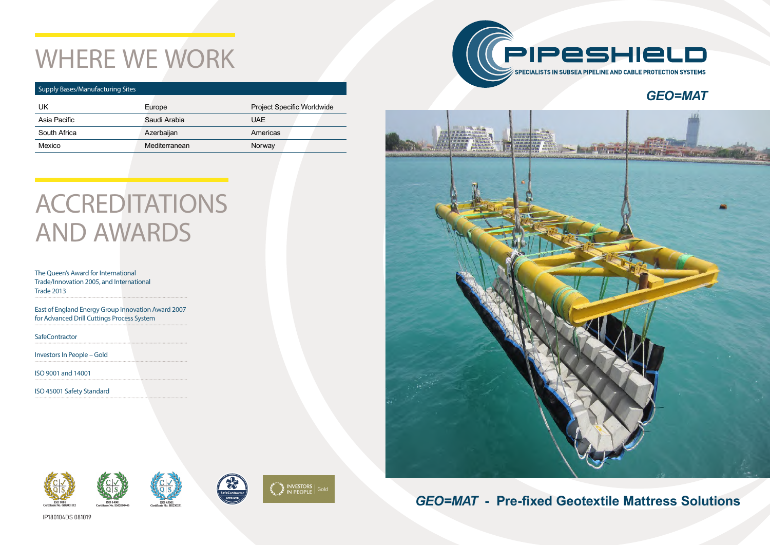### *GEO=MAT* **- Pre-fixed Geotextile Mattress Solutions**

# WHERE WE WORK

#### Supply Bases/Manufacturing Sites

## **ACCREDITATIONS** AND AWARDS

| UK           | Europe        | <b>Project Specific Worldwide</b> |  |
|--------------|---------------|-----------------------------------|--|
| Asia Pacific | Saudi Arabia  | <b>UAE</b>                        |  |
| South Africa | Azerbaijan    | Americas                          |  |
| Mexico       | Mediterranean | Norway                            |  |

The Queen's Award for International Trade/Innovation 2005, and International Trade 2013

East of England Energy Group Innovation Award 2007 for Advanced Drill Cuttings Process System

**SafeContractor** 

Investors In People – Gold

ISO 9001 and 14001

ISO 45001 Safety Standard















### *GEO=MAT*

IP180104DS 081019